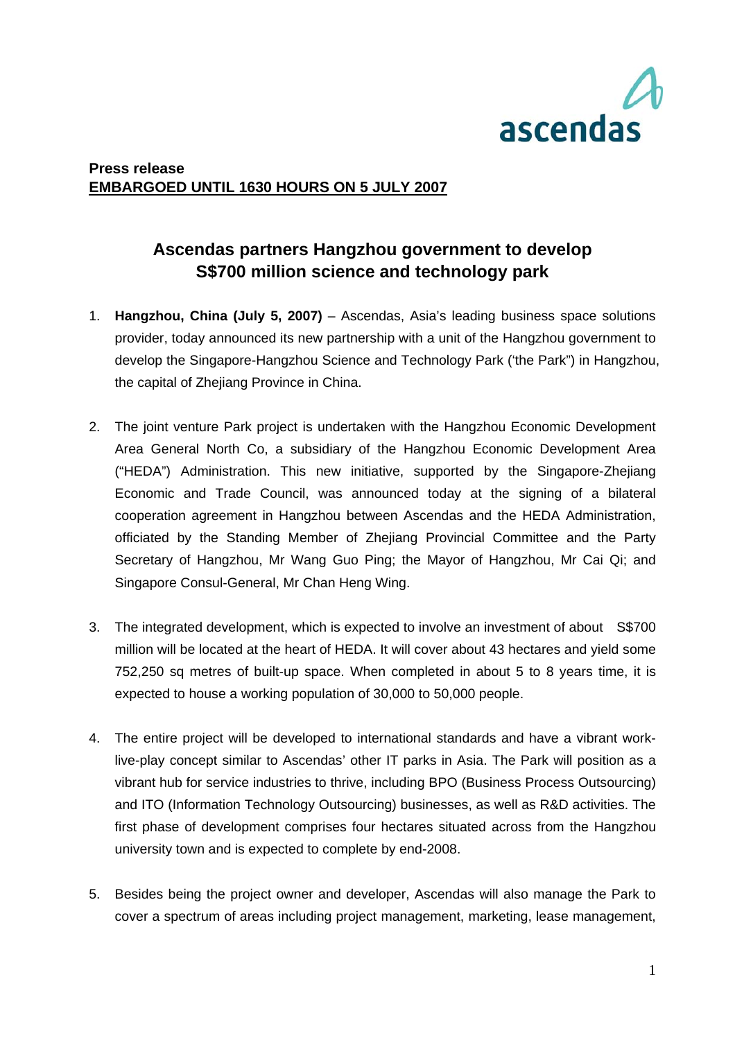

## **Press release EMBARGOED UNTIL 1630 HOURS ON 5 JULY 2007**

# **Ascendas partners Hangzhou government to develop S\$700 million science and technology park**

- 1. **Hangzhou, China (July 5, 2007)**  Ascendas, Asia's leading business space solutions provider, today announced its new partnership with a unit of the Hangzhou government to develop the Singapore-Hangzhou Science and Technology Park ('the Park") in Hangzhou, the capital of Zhejiang Province in China.
- 2. The joint venture Park project is undertaken with the Hangzhou Economic Development Area General North Co, a subsidiary of the Hangzhou Economic Development Area ("HEDA") Administration. This new initiative, supported by the Singapore-Zhejiang Economic and Trade Council, was announced today at the signing of a bilateral cooperation agreement in Hangzhou between Ascendas and the HEDA Administration, officiated by the Standing Member of Zhejiang Provincial Committee and the Party Secretary of Hangzhou, Mr Wang Guo Ping; the Mayor of Hangzhou, Mr Cai Qi; and Singapore Consul-General, Mr Chan Heng Wing.
- 3. The integrated development, which is expected to involve an investment of about S\$700 million will be located at the heart of HEDA. It will cover about 43 hectares and yield some 752,250 sq metres of built-up space. When completed in about 5 to 8 years time, it is expected to house a working population of 30,000 to 50,000 people.
- 4. The entire project will be developed to international standards and have a vibrant worklive-play concept similar to Ascendas' other IT parks in Asia. The Park will position as a vibrant hub for service industries to thrive, including BPO (Business Process Outsourcing) and ITO (Information Technology Outsourcing) businesses, as well as R&D activities. The first phase of development comprises four hectares situated across from the Hangzhou university town and is expected to complete by end-2008.
- 5. Besides being the project owner and developer, Ascendas will also manage the Park to cover a spectrum of areas including project management, marketing, lease management,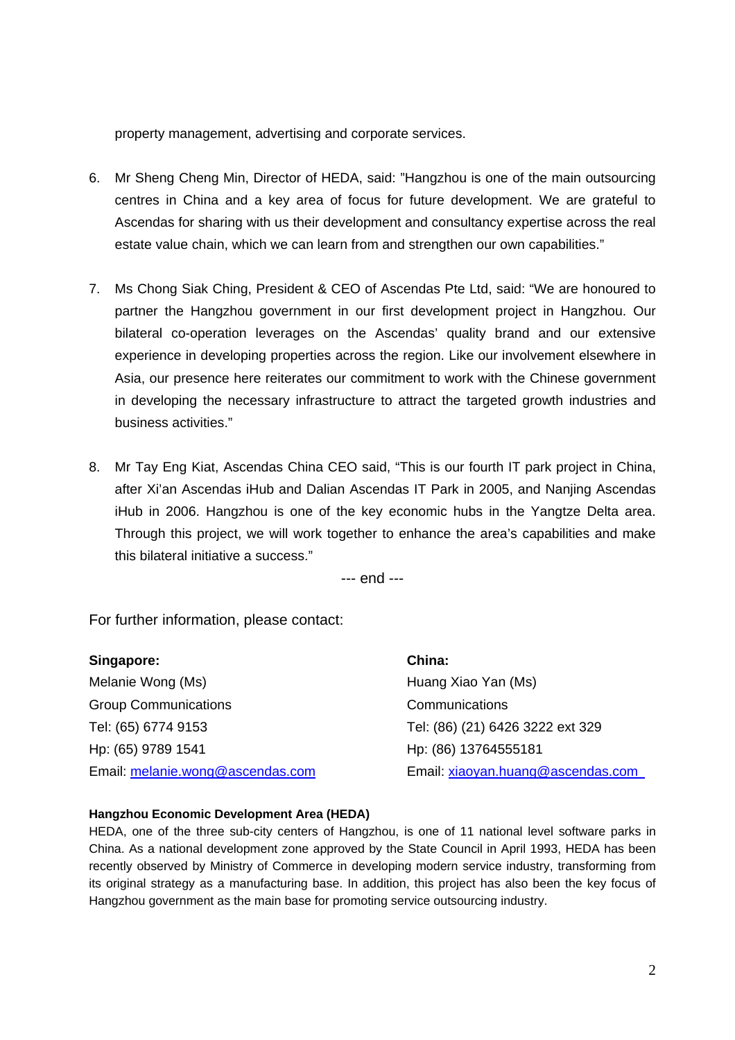property management, advertising and corporate services.

- 6. Mr Sheng Cheng Min, Director of HEDA, said: "Hangzhou is one of the main outsourcing centres in China and a key area of focus for future development. We are grateful to Ascendas for sharing with us their development and consultancy expertise across the real estate value chain, which we can learn from and strengthen our own capabilities."
- 7. Ms Chong Siak Ching, President & CEO of Ascendas Pte Ltd, said: "We are honoured to partner the Hangzhou government in our first development project in Hangzhou. Our bilateral co-operation leverages on the Ascendas' quality brand and our extensive experience in developing properties across the region. Like our involvement elsewhere in Asia, our presence here reiterates our commitment to work with the Chinese government in developing the necessary infrastructure to attract the targeted growth industries and business activities."
- 8. Mr Tay Eng Kiat, Ascendas China CEO said, "This is our fourth IT park project in China, after Xi'an Ascendas iHub and Dalian Ascendas IT Park in 2005, and Nanjing Ascendas iHub in 2006. Hangzhou is one of the key economic hubs in the Yangtze Delta area. Through this project, we will work together to enhance the area's capabilities and make this bilateral initiative a success."

--- end ---

For further information, please contact:

| Singapore:                       | China:                            |
|----------------------------------|-----------------------------------|
| Melanie Wong (Ms)                | Huang Xiao Yan (Ms)               |
| <b>Group Communications</b>      | Communications                    |
| Tel: (65) 6774 9153              | Tel: (86) (21) 6426 3222 ext 329  |
| Hp: (65) 9789 1541               | Hp: (86) 13764555181              |
| Email: melanie.wong@ascendas.com | Email: xiaoyan.huang@ascendas.com |

#### **Hangzhou Economic Development Area (HEDA)**

HEDA, one of the three sub-city centers of Hangzhou, is one of 11 national level software parks in China. As a national development zone approved by the State Council in April 1993, HEDA has been recently observed by Ministry of Commerce in developing modern service industry, transforming from its original strategy as a manufacturing base. In addition, this project has also been the key focus of Hangzhou government as the main base for promoting service outsourcing industry.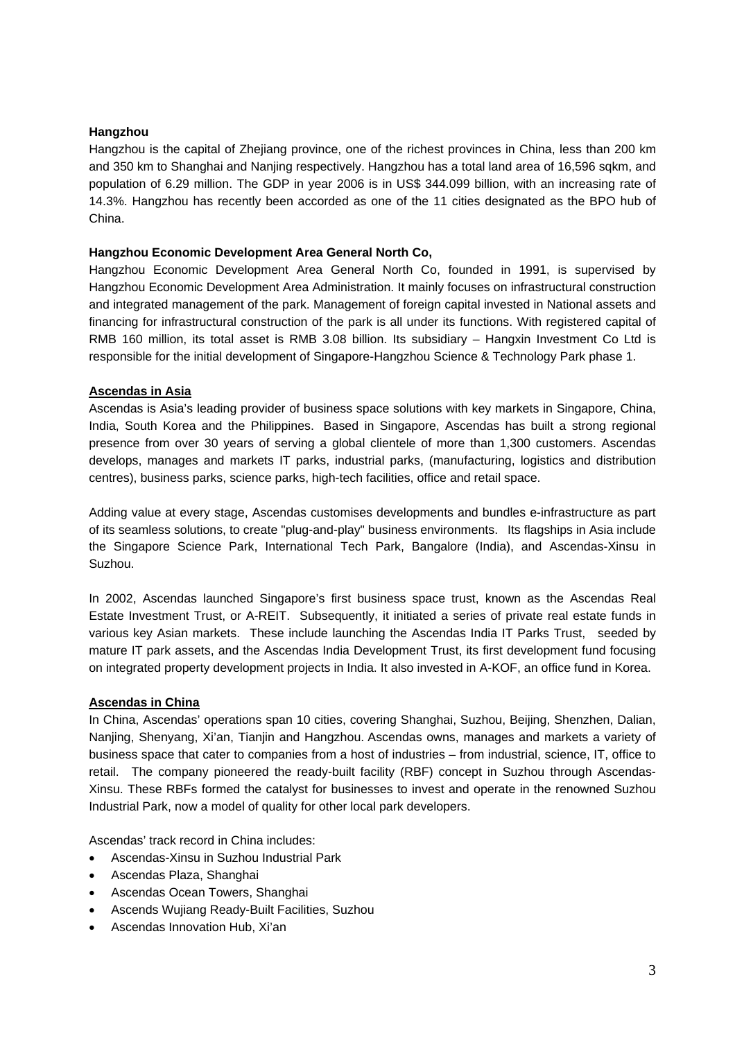#### **Hangzhou**

Hangzhou is the capital of Zhejiang province, one of the richest provinces in China, less than 200 km and 350 km to Shanghai and Nanjing respectively. Hangzhou has a total land area of 16,596 sqkm, and population of 6.29 million. The GDP in year 2006 is in US\$ 344.099 billion, with an increasing rate of 14.3%. Hangzhou has recently been accorded as one of the 11 cities designated as the BPO hub of China.

#### **Hangzhou Economic Development Area General North Co,**

Hangzhou Economic Development Area General North Co, founded in 1991, is supervised by Hangzhou Economic Development Area Administration. It mainly focuses on infrastructural construction and integrated management of the park. Management of foreign capital invested in National assets and financing for infrastructural construction of the park is all under its functions. With registered capital of RMB 160 million, its total asset is RMB 3.08 billion. Its subsidiary – Hangxin Investment Co Ltd is responsible for the initial development of Singapore-Hangzhou Science & Technology Park phase 1.

### **Ascendas in Asia**

Ascendas is Asia's leading provider of business space solutions with key markets in Singapore, China, India, South Korea and the Philippines. Based in Singapore, Ascendas has built a strong regional presence from over 30 years of serving a global clientele of more than 1,300 customers. Ascendas develops, manages and markets IT parks, industrial parks, (manufacturing, logistics and distribution centres), business parks, science parks, high-tech facilities, office and retail space.

Adding value at every stage, Ascendas customises developments and bundles e-infrastructure as part of its seamless solutions, to create "plug-and-play" business environments. Its flagships in Asia include the Singapore Science Park, International Tech Park, Bangalore (India), and Ascendas-Xinsu in Suzhou.

In 2002, Ascendas launched Singapore's first business space trust, known as the Ascendas Real Estate Investment Trust, or A-REIT. Subsequently, it initiated a series of private real estate funds in various key Asian markets. These include launching the Ascendas India IT Parks Trust, seeded by mature IT park assets, and the Ascendas India Development Trust, its first development fund focusing on integrated property development projects in India. It also invested in A-KOF, an office fund in Korea.

#### **Ascendas in China**

In China, Ascendas' operations span 10 cities, covering Shanghai, Suzhou, Beijing, Shenzhen, Dalian, Nanjing, Shenyang, Xi'an, Tianjin and Hangzhou. Ascendas owns, manages and markets a variety of business space that cater to companies from a host of industries – from industrial, science, IT, office to retail. The company pioneered the ready-built facility (RBF) concept in Suzhou through Ascendas-Xinsu. These RBFs formed the catalyst for businesses to invest and operate in the renowned Suzhou Industrial Park, now a model of quality for other local park developers.

Ascendas' track record in China includes:

- Ascendas-Xinsu in Suzhou Industrial Park
- Ascendas Plaza, Shanghai
- Ascendas Ocean Towers, Shanghai
- Ascends Wujiang Ready-Built Facilities, Suzhou
- Ascendas Innovation Hub, Xi'an